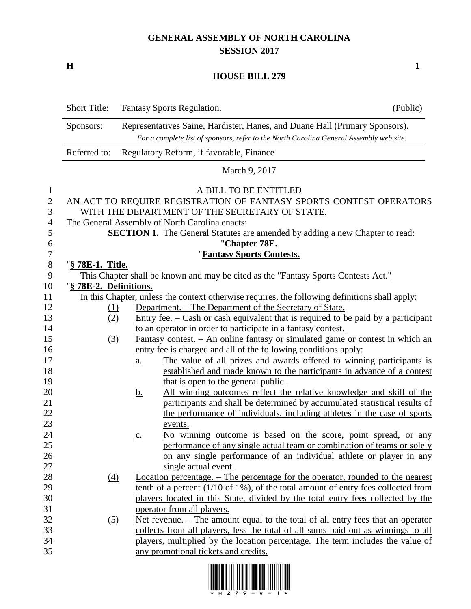## **GENERAL ASSEMBLY OF NORTH CAROLINA SESSION 2017**

**H 1**

## **HOUSE BILL 279**

|                     | <b>Short Title:</b>    |                   | Fantasy Sports Regulation.                                                                                                                | (Public) |
|---------------------|------------------------|-------------------|-------------------------------------------------------------------------------------------------------------------------------------------|----------|
|                     | Sponsors:              |                   | Representatives Saine, Hardister, Hanes, and Duane Hall (Primary Sponsors).                                                               |          |
|                     |                        |                   | For a complete list of sponsors, refer to the North Carolina General Assembly web site.                                                   |          |
|                     | Referred to:           |                   | Regulatory Reform, if favorable, Finance                                                                                                  |          |
|                     |                        |                   | March 9, 2017                                                                                                                             |          |
| $\mathbf{1}$        |                        |                   | A BILL TO BE ENTITLED                                                                                                                     |          |
| $\overline{2}$<br>3 |                        |                   | AN ACT TO REQUIRE REGISTRATION OF FANTASY SPORTS CONTEST OPERATORS<br>WITH THE DEPARTMENT OF THE SECRETARY OF STATE.                      |          |
| $\overline{4}$      |                        |                   | The General Assembly of North Carolina enacts:                                                                                            |          |
| 5                   |                        |                   | <b>SECTION 1.</b> The General Statutes are amended by adding a new Chapter to read:                                                       |          |
| 6                   |                        |                   | "Chapter 78E.                                                                                                                             |          |
| 7                   |                        |                   | 'Fantasy Sports Contests.                                                                                                                 |          |
| $8\phantom{1}$      | "§ 78E-1. Title.       |                   |                                                                                                                                           |          |
| 9                   |                        |                   | This Chapter shall be known and may be cited as the "Fantasy Sports Contests Act."                                                        |          |
| 10                  | "§ 78E-2. Definitions. |                   |                                                                                                                                           |          |
| 11                  |                        |                   | In this Chapter, unless the context otherwise requires, the following definitions shall apply:                                            |          |
| 12                  | (1)                    |                   | Department. – The Department of the Secretary of State.                                                                                   |          |
| 13                  | (2)                    |                   | <u>Entry fee. <math>-\text{Cash or cash equivalent that is required to be paid by a participant}</math></u>                               |          |
| 14                  |                        |                   | to an operator in order to participate in a fantasy contest.                                                                              |          |
| 15                  | (3)                    |                   | <u>Fantasy contest. – An online fantasy or simulated game or contest in which an</u>                                                      |          |
| 16                  |                        |                   | entry fee is charged and all of the following conditions apply:                                                                           |          |
| 17                  |                        | <u>a.</u>         | The value of all prizes and awards offered to winning participants is                                                                     |          |
| 18                  |                        |                   | established and made known to the participants in advance of a contest                                                                    |          |
| 19                  |                        |                   | that is open to the general public.                                                                                                       |          |
| 20                  |                        | <u>b.</u>         | All winning outcomes reflect the relative knowledge and skill of the                                                                      |          |
| 21                  |                        |                   | participants and shall be determined by accumulated statistical results of                                                                |          |
| 22                  |                        |                   | the performance of individuals, including athletes in the case of sports                                                                  |          |
| 23<br>24            |                        |                   | events.                                                                                                                                   |          |
| 25                  |                        | $\underline{c}$ . | No winning outcome is based on the score, point spread, or any<br>performance of any single actual team or combination of teams or solely |          |
| 26                  |                        |                   | on any single performance of an individual athlete or player in any                                                                       |          |
| 27                  |                        |                   | single actual event.                                                                                                                      |          |
| 28                  | $\left(4\right)$       |                   | Location percentage. – The percentage for the operator, rounded to the nearest                                                            |          |
| 29                  |                        |                   | tenth of a percent $(1/10 \text{ of } 1\%)$ , of the total amount of entry fees collected from                                            |          |
| 30                  |                        |                   | players located in this State, divided by the total entry fees collected by the                                                           |          |
| 31                  |                        |                   | operator from all players.                                                                                                                |          |
| 32                  | $\left( 5\right)$      |                   | Net revenue. – The amount equal to the total of all entry fees that an operator                                                           |          |
| 33                  |                        |                   | collects from all players, less the total of all sums paid out as winnings to all                                                         |          |
| 34                  |                        |                   | players, multiplied by the location percentage. The term includes the value of                                                            |          |
| 35                  |                        |                   | any promotional tickets and credits.                                                                                                      |          |

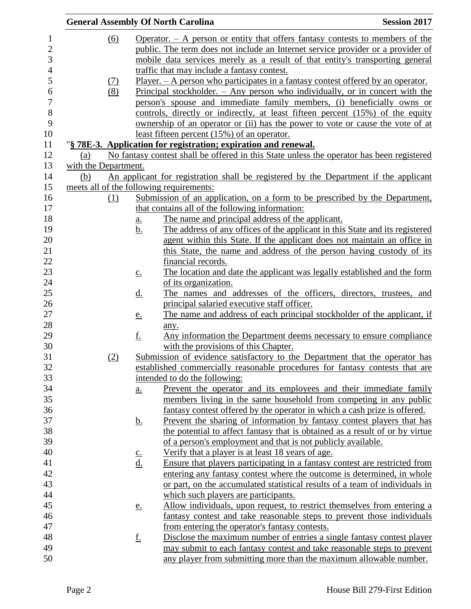|                      |                   |                   | <b>General Assembly Of North Carolina</b>                                                        | <b>Session 2017</b> |
|----------------------|-------------------|-------------------|--------------------------------------------------------------------------------------------------|---------------------|
|                      | $\underline{(6)}$ |                   | Operator. $-$ A person or entity that offers fantasy contests to members of the                  |                     |
|                      |                   |                   | public. The term does not include an Internet service provider or a provider of                  |                     |
|                      |                   |                   | mobile data services merely as a result of that entity's transporting general                    |                     |
|                      |                   |                   | traffic that may include a fantasy contest.                                                      |                     |
|                      |                   |                   | Player. $- A$ person who participates in a fantasy contest offered by an operator.               |                     |
|                      | (7)<br>(8)        |                   | <u>Principal stockholder. <math>-</math> Any person who individually, or in concert with the</u> |                     |
|                      |                   |                   |                                                                                                  |                     |
|                      |                   |                   | person's spouse and immediate family members, (i) beneficially owns or                           |                     |
|                      |                   |                   | controls, directly or indirectly, at least fifteen percent (15%) of the equity                   |                     |
|                      |                   |                   | ownership of an operator or (ii) has the power to vote or cause the vote of at                   |                     |
|                      |                   |                   | least fifteen percent (15%) of an operator.                                                      |                     |
|                      |                   |                   | "§ 78E-3. Application for registration; expiration and renewal.                                  |                     |
| (a)                  |                   |                   | No fantasy contest shall be offered in this State unless the operator has been registered        |                     |
| with the Department. |                   |                   |                                                                                                  |                     |
| (b)                  |                   |                   | An applicant for registration shall be registered by the Department if the applicant             |                     |
|                      |                   |                   | meets all of the following requirements:                                                         |                     |
|                      | (1)               |                   | Submission of an application, on a form to be prescribed by the Department,                      |                     |
|                      |                   |                   | that contains all of the following information:                                                  |                     |
|                      |                   | <u>a.</u>         | The name and principal address of the applicant.                                                 |                     |
|                      |                   | <u>b.</u>         | The address of any offices of the applicant in this State and its registered                     |                     |
|                      |                   |                   | agent within this State. If the applicant does not maintain an office in                         |                     |
|                      |                   |                   | this State, the name and address of the person having custody of its                             |                     |
|                      |                   |                   | financial records.                                                                               |                     |
|                      |                   | $\underline{c}$ . | The location and date the applicant was legally established and the form                         |                     |
|                      |                   |                   | of its organization.                                                                             |                     |
|                      |                   | <u>d.</u>         | The names and addresses of the officers, directors, trustees, and                                |                     |
|                      |                   |                   | principal salaried executive staff officer.                                                      |                     |
|                      |                   | <u>e.</u>         | The name and address of each principal stockholder of the applicant, if                          |                     |
|                      |                   |                   | any.                                                                                             |                     |
|                      |                   | <u>f.</u>         | Any information the Department deems necessary to ensure compliance                              |                     |
|                      |                   |                   | with the provisions of this Chapter.                                                             |                     |
|                      | (2)               |                   | Submission of evidence satisfactory to the Department that the operator has                      |                     |
|                      |                   |                   | established commercially reasonable procedures for fantasy contests that are                     |                     |
|                      |                   |                   | intended to do the following:                                                                    |                     |
|                      |                   | a.                | Prevent the operator and its employees and their immediate family                                |                     |
|                      |                   |                   | members living in the same household from competing in any public                                |                     |
|                      |                   |                   | fantasy contest offered by the operator in which a cash prize is offered.                        |                     |
|                      |                   |                   | Prevent the sharing of information by fantasy contest players that has                           |                     |
|                      |                   | <u>b.</u>         | the potential to affect fantasy that is obtained as a result of or by virtue                     |                     |
|                      |                   |                   |                                                                                                  |                     |
|                      |                   |                   | of a person's employment and that is not publicly available.                                     |                     |
|                      |                   | $rac{c}{d}$ .     | Verify that a player is at least 18 years of age.                                                |                     |
|                      |                   |                   | Ensure that players participating in a fantasy contest are restricted from                       |                     |
|                      |                   |                   | entering any fantasy contest where the outcome is determined, in whole                           |                     |
|                      |                   |                   | or part, on the accumulated statistical results of a team of individuals in                      |                     |
|                      |                   |                   | which such players are participants.                                                             |                     |
|                      |                   | <u>e.</u>         | Allow individuals, upon request, to restrict themselves from entering a                          |                     |
|                      |                   |                   | fantasy contest and take reasonable steps to prevent those individuals                           |                     |
|                      |                   |                   | from entering the operator's fantasy contests.                                                   |                     |
|                      |                   | <u>f.</u>         | Disclose the maximum number of entries a single fantasy contest player                           |                     |
|                      |                   |                   | may submit to each fantasy contest and take reasonable steps to prevent                          |                     |
|                      |                   |                   | any player from submitting more than the maximum allowable number.                               |                     |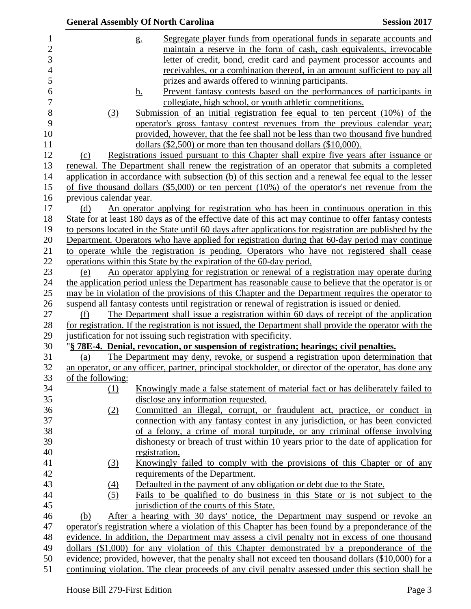|                         |                         | <b>General Assembly Of North Carolina</b>                                                               | <b>Session 2017</b> |
|-------------------------|-------------------------|---------------------------------------------------------------------------------------------------------|---------------------|
| $\mathbf{1}$            |                         | Segregate player funds from operational funds in separate accounts and<br>$g_{\cdot}$                   |                     |
| $\overline{\mathbf{c}}$ |                         | maintain a reserve in the form of cash, cash equivalents, irrevocable                                   |                     |
| 3                       |                         | letter of credit, bond, credit card and payment processor accounts and                                  |                     |
| $\overline{4}$          |                         | receivables, or a combination thereof, in an amount sufficient to pay all                               |                     |
| 5                       |                         | prizes and awards offered to winning participants.                                                      |                     |
| 6                       |                         | Prevent fantasy contests based on the performances of participants in<br><u>h.</u>                      |                     |
| $\overline{7}$          |                         | collegiate, high school, or youth athletic competitions.                                                |                     |
| 8                       | (3)                     | Submission of an initial registration fee equal to ten percent $(10\%)$ of the                          |                     |
| 9                       |                         | operator's gross fantasy contest revenues from the previous calendar year;                              |                     |
| 10                      |                         | provided, however, that the fee shall not be less than two thousand five hundred                        |                     |
| 11                      |                         | dollars (\$2,500) or more than ten thousand dollars (\$10,000).                                         |                     |
| 12                      | (c)                     | Registrations issued pursuant to this Chapter shall expire five years after issuance or                 |                     |
| 13                      |                         | renewal. The Department shall renew the registration of an operator that submits a completed            |                     |
| 14                      |                         | application in accordance with subsection (b) of this section and a renewal fee equal to the lesser     |                     |
| 15                      |                         | of five thousand dollars $(\$5,000)$ or ten percent $(10%)$ of the operator's net revenue from the      |                     |
| 16                      | previous calendar year. |                                                                                                         |                     |
| 17                      | (d)                     | An operator applying for registration who has been in continuous operation in this                      |                     |
| 18                      |                         | State for at least 180 days as of the effective date of this act may continue to offer fantasy contests |                     |
| 19                      |                         | to persons located in the State until 60 days after applications for registration are published by the  |                     |
| 20                      |                         | Department. Operators who have applied for registration during that 60-day period may continue          |                     |
| 21                      |                         | to operate while the registration is pending. Operators who have not registered shall cease             |                     |
| 22                      |                         | operations within this State by the expiration of the 60-day period.                                    |                     |
| 23                      | (e)                     | An operator applying for registration or renewal of a registration may operate during                   |                     |
| 24                      |                         | the application period unless the Department has reasonable cause to believe that the operator is or    |                     |
| 25                      |                         | may be in violation of the provisions of this Chapter and the Department requires the operator to       |                     |
| 26                      |                         | suspend all fantasy contests until registration or renewal of registration is issued or denied.         |                     |
| 27                      | (f)                     | The Department shall issue a registration within 60 days of receipt of the application                  |                     |
| 28                      |                         | for registration. If the registration is not issued, the Department shall provide the operator with the |                     |
| 29                      |                         | justification for not issuing such registration with specificity.                                       |                     |
| 30                      |                         | "§ 78E-4. Denial, revocation, or suspension of registration; hearings; civil penalties.                 |                     |
| 31                      | (a)                     | The Department may deny, revoke, or suspend a registration upon determination that                      |                     |
| 32                      |                         | an operator, or any officer, partner, principal stockholder, or director of the operator, has done any  |                     |
| 33                      | of the following:       |                                                                                                         |                     |
| 34                      | $\Omega$                | Knowingly made a false statement of material fact or has deliberately failed to                         |                     |
| 35                      |                         | disclose any information requested.                                                                     |                     |
| 36                      | (2)                     | Committed an illegal, corrupt, or fraudulent act, practice, or conduct in                               |                     |
| 37                      |                         | connection with any fantasy contest in any jurisdiction, or has been convicted                          |                     |
| 38                      |                         | of a felony, a crime of moral turpitude, or any criminal offense involving                              |                     |
| 39                      |                         | dishonesty or breach of trust within 10 years prior to the date of application for                      |                     |
| 40                      |                         | registration.                                                                                           |                     |
| 41                      | $\left(3\right)$        | Knowingly failed to comply with the provisions of this Chapter or of any                                |                     |
| 42                      |                         | requirements of the Department.                                                                         |                     |
| 43                      | $\underline{(4)}$       | Defaulted in the payment of any obligation or debt due to the State.                                    |                     |
| 44                      | (5)                     | Fails to be qualified to do business in this State or is not subject to the                             |                     |
| 45                      |                         | jurisdiction of the courts of this State.                                                               |                     |
| 46                      | (b)                     | After a hearing with 30 days' notice, the Department may suspend or revoke an                           |                     |
| 47                      |                         | operator's registration where a violation of this Chapter has been found by a preponderance of the      |                     |
| 48                      |                         | evidence. In addition, the Department may assess a civil penalty not in excess of one thousand          |                     |
| 49                      |                         | dollars (\$1,000) for any violation of this Chapter demonstrated by a preponderance of the              |                     |
| 50                      |                         | evidence; provided, however, that the penalty shall not exceed ten thousand dollars (\$10,000) for a    |                     |
| 51                      |                         | continuing violation. The clear proceeds of any civil penalty assessed under this section shall be      |                     |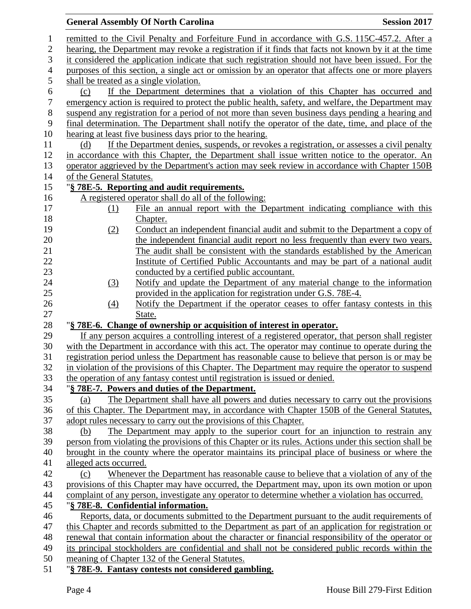|                  |                          | <b>General Assembly Of North Carolina</b>                                                                                                                                                         | <b>Session 2017</b> |
|------------------|--------------------------|---------------------------------------------------------------------------------------------------------------------------------------------------------------------------------------------------|---------------------|
| $\mathbf{1}$     |                          | remitted to the Civil Penalty and Forfeiture Fund in accordance with G.S. 115C-457.2. After a                                                                                                     |                     |
| $\mathbf{2}$     |                          | hearing, the Department may revoke a registration if it finds that facts not known by it at the time                                                                                              |                     |
| 3                |                          | it considered the application indicate that such registration should not have been issued. For the                                                                                                |                     |
| $\overline{4}$   |                          | purposes of this section, a single act or omission by an operator that affects one or more players                                                                                                |                     |
| $\mathfrak{S}$   |                          | shall be treated as a single violation.                                                                                                                                                           |                     |
| 6                | (c)                      | If the Department determines that a violation of this Chapter has occurred and                                                                                                                    |                     |
| $\boldsymbol{7}$ |                          | emergency action is required to protect the public health, safety, and welfare, the Department may                                                                                                |                     |
| $8\,$            |                          | suspend any registration for a period of not more than seven business days pending a hearing and                                                                                                  |                     |
| 9                |                          | final determination. The Department shall notify the operator of the date, time, and place of the                                                                                                 |                     |
| 10               |                          | hearing at least five business days prior to the hearing.                                                                                                                                         |                     |
| 11               | (d)                      | If the Department denies, suspends, or revokes a registration, or assesses a civil penalty                                                                                                        |                     |
| 12               |                          | in accordance with this Chapter, the Department shall issue written notice to the operator. An                                                                                                    |                     |
| 13               |                          | operator aggrieved by the Department's action may seek review in accordance with Chapter 150B                                                                                                     |                     |
| 14               | of the General Statutes. |                                                                                                                                                                                                   |                     |
| 15               |                          | "§ 78E-5. Reporting and audit requirements.                                                                                                                                                       |                     |
| 16               |                          | A registered operator shall do all of the following:                                                                                                                                              |                     |
| 17               | (1)                      | File an annual report with the Department indicating compliance with this                                                                                                                         |                     |
| 18               |                          | Chapter.                                                                                                                                                                                          |                     |
| 19               | (2)                      | Conduct an independent financial audit and submit to the Department a copy of                                                                                                                     |                     |
| 20               |                          | the independent financial audit report no less frequently than every two years.<br>The audit shall be consistent with the standards established by the American                                   |                     |
| 21<br>22         |                          | Institute of Certified Public Accountants and may be part of a national audit                                                                                                                     |                     |
| 23               |                          | conducted by a certified public accountant.                                                                                                                                                       |                     |
| 24               | (3)                      | Notify and update the Department of any material change to the information                                                                                                                        |                     |
| 25               |                          | provided in the application for registration under G.S. 78E-4.                                                                                                                                    |                     |
| 26               | (4)                      | Notify the Department if the operator ceases to offer fantasy contests in this                                                                                                                    |                     |
| 27               |                          | State.                                                                                                                                                                                            |                     |
| 28               |                          | "§ 78E-6. Change of ownership or acquisition of interest in operator.                                                                                                                             |                     |
| 29               |                          | If any person acquires a controlling interest of a registered operator, that person shall register                                                                                                |                     |
| 30               |                          | with the Department in accordance with this act. The operator may continue to operate during the                                                                                                  |                     |
| 31               |                          | registration period unless the Department has reasonable cause to believe that person is or may be                                                                                                |                     |
| 32               |                          | in violation of the provisions of this Chapter. The Department may require the operator to suspend                                                                                                |                     |
| 33               |                          | the operation of any fantasy contest until registration is issued or denied.                                                                                                                      |                     |
| 34               |                          | "§ 78E-7. Powers and duties of the Department.                                                                                                                                                    |                     |
| 35               | (a)                      | The Department shall have all powers and duties necessary to carry out the provisions                                                                                                             |                     |
| 36               |                          | of this Chapter. The Department may, in accordance with Chapter 150B of the General Statutes,                                                                                                     |                     |
| 37               |                          | adopt rules necessary to carry out the provisions of this Chapter.                                                                                                                                |                     |
| 38               | (b)                      | The Department may apply to the superior court for an injunction to restrain any                                                                                                                  |                     |
| 39               |                          | person from violating the provisions of this Chapter or its rules. Actions under this section shall be                                                                                            |                     |
| 40               |                          | brought in the county where the operator maintains its principal place of business or where the                                                                                                   |                     |
| 41               | alleged acts occurred.   |                                                                                                                                                                                                   |                     |
| 42               | (c)                      | Whenever the Department has reasonable cause to believe that a violation of any of the                                                                                                            |                     |
| 43               |                          | provisions of this Chapter may have occurred, the Department may, upon its own motion or upon<br>complaint of any person, investigate any operator to determine whether a violation has occurred. |                     |
| 44<br>45         |                          | "§ 78E-8. Confidential information.                                                                                                                                                               |                     |
| 46               |                          | Reports, data, or documents submitted to the Department pursuant to the audit requirements of                                                                                                     |                     |
| 47               |                          | this Chapter and records submitted to the Department as part of an application for registration or                                                                                                |                     |
| 48               |                          | renewal that contain information about the character or financial responsibility of the operator or                                                                                               |                     |
| 49               |                          | its principal stockholders are confidential and shall not be considered public records within the                                                                                                 |                     |
| 50               |                          | meaning of Chapter 132 of the General Statutes.                                                                                                                                                   |                     |
| 51               |                          | "§ 78E-9. Fantasy contests not considered gambling.                                                                                                                                               |                     |